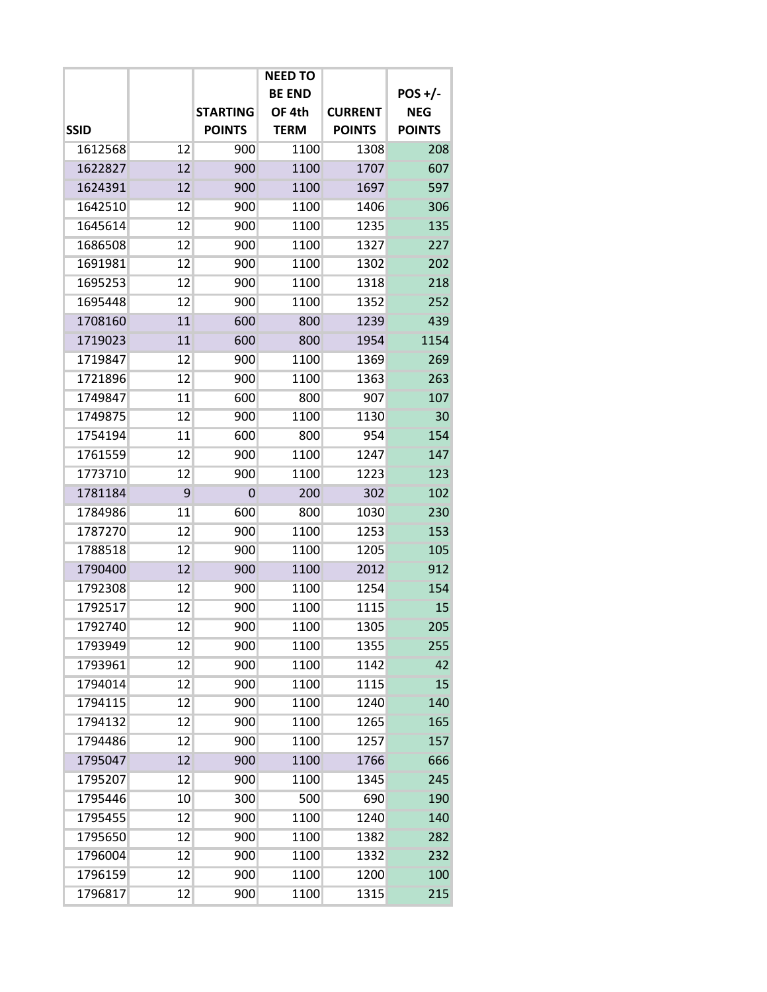|             |    |                 | <b>NEED TO</b> |                |               |
|-------------|----|-----------------|----------------|----------------|---------------|
|             |    |                 | <b>BE END</b>  |                | $POS+/-$      |
|             |    | <b>STARTING</b> | OF 4th         | <b>CURRENT</b> | <b>NEG</b>    |
| <b>SSID</b> |    | <b>POINTS</b>   | <b>TERM</b>    | <b>POINTS</b>  | <b>POINTS</b> |
| 1612568     | 12 | 900             | 1100           | 1308           | 208           |
| 1622827     | 12 | 900             | 1100           | 1707           | 607           |
| 1624391     | 12 | 900             | 1100           | 1697           | 597           |
| 1642510     | 12 | 900             | 1100           | 1406           | 306           |
| 1645614     | 12 | 900             | 1100           | 1235           | 135           |
| 1686508     | 12 | 900             | 1100           | 1327           | 227           |
| 1691981     | 12 | 900             | 1100           | 1302           | 202           |
| 1695253     | 12 | 900             | 1100           | 1318           | 218           |
| 1695448     | 12 | 900             | 1100           | 1352           | 252           |
| 1708160     | 11 | 600             | 800            | 1239           | 439           |
| 1719023     | 11 | 600             | 800            | 1954           | 1154          |
| 1719847     | 12 | 900             | 1100           | 1369           | 269           |
| 1721896     | 12 | 900             | 1100           | 1363           | 263           |
| 1749847     | 11 | 600             | 800            | 907            | 107           |
| 1749875     | 12 | 900             | 1100           | 1130           | 30            |
| 1754194     | 11 | 600             | 800            | 954            | 154           |
| 1761559     | 12 | 900             | 1100           | 1247           | 147           |
| 1773710     | 12 | 900             | 1100           | 1223           | 123           |
| 1781184     | 9  | $\overline{0}$  | 200            | 302            | 102           |
| 1784986     | 11 | 600             | 800            | 1030           | 230           |
| 1787270     | 12 | 900             | 1100           | 1253           | 153           |
| 1788518     | 12 | 900             | 1100           | 1205           | 105           |
| 1790400     | 12 | 900             | 1100           | 2012           | 912           |
| 1792308     | 12 | 900             | 1100           | 1254           | 154           |
| 1792517     | 12 | 900             | 1100           | 1115           | 15            |
| 1792740     | 12 | 900             | 1100           | 1305           | 205           |
| 1793949     | 12 | 900             | 1100           | 1355           | 255           |
| 1793961     | 12 | 900             | 1100           | 1142           | 42            |
| 1794014     | 12 | 900             | 1100           | 1115           | 15            |
| 1794115     | 12 | 900             | 1100           | 1240           | 140           |
| 1794132     | 12 | 900             | 1100           | 1265           | 165           |
| 1794486     | 12 | 900             | 1100           | 1257           | 157           |
| 1795047     | 12 | 900             | 1100           | 1766           | 666           |
| 1795207     | 12 | 900             | 1100           | 1345           | 245           |
| 1795446     | 10 | 300             | 500            | 690            | 190           |
| 1795455     | 12 | 900             | 1100           | 1240           | 140           |
| 1795650     | 12 | 900             | 1100           | 1382           | 282           |
| 1796004     | 12 | 900             | 1100           | 1332           | 232           |
| 1796159     | 12 | 900             | 1100           | 1200           | 100           |
| 1796817     | 12 | 900             | 1100           | 1315           | 215           |
|             |    |                 |                |                |               |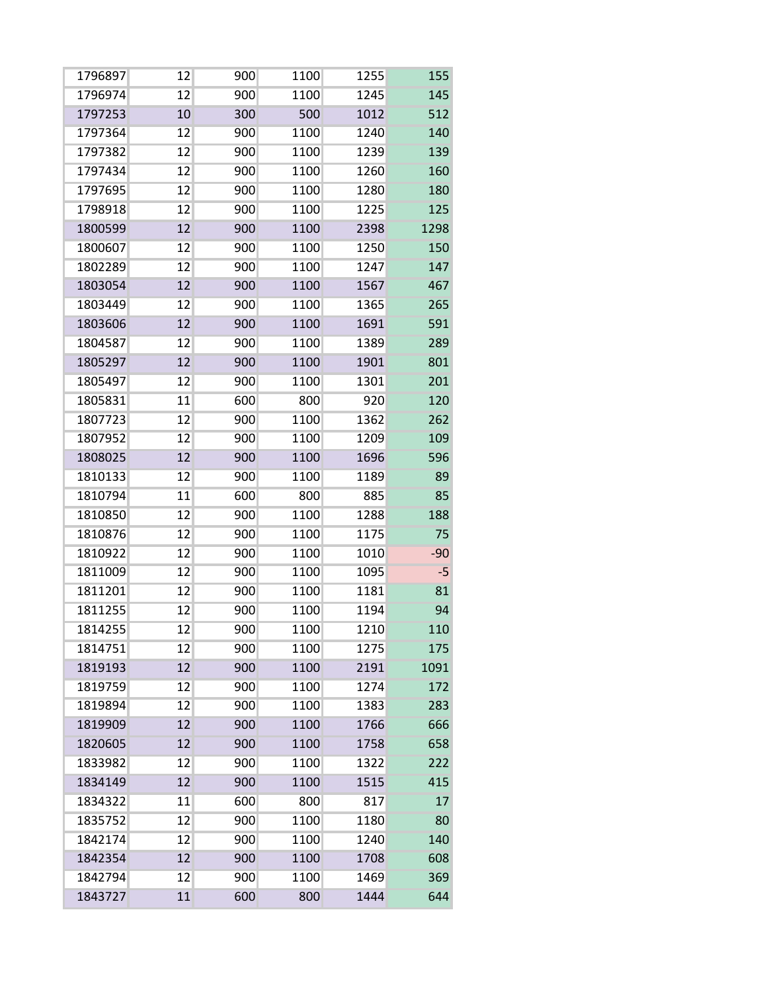| 1796897 | 12 | 900 | 1100 | 1255 | 155   |
|---------|----|-----|------|------|-------|
| 1796974 | 12 | 900 | 1100 | 1245 | 145   |
| 1797253 | 10 | 300 | 500  | 1012 | 512   |
| 1797364 | 12 | 900 | 1100 | 1240 | 140   |
| 1797382 | 12 | 900 | 1100 | 1239 | 139   |
| 1797434 | 12 | 900 | 1100 | 1260 | 160   |
| 1797695 | 12 | 900 | 1100 | 1280 | 180   |
| 1798918 | 12 | 900 | 1100 | 1225 | 125   |
| 1800599 | 12 | 900 | 1100 | 2398 | 1298  |
| 1800607 | 12 | 900 | 1100 | 1250 | 150   |
| 1802289 | 12 | 900 | 1100 | 1247 | 147   |
| 1803054 | 12 | 900 | 1100 | 1567 | 467   |
| 1803449 | 12 | 900 | 1100 | 1365 | 265   |
| 1803606 | 12 | 900 | 1100 | 1691 | 591   |
| 1804587 | 12 | 900 | 1100 | 1389 | 289   |
| 1805297 | 12 | 900 | 1100 | 1901 | 801   |
| 1805497 | 12 | 900 | 1100 | 1301 | 201   |
| 1805831 | 11 | 600 | 800  | 920  | 120   |
| 1807723 | 12 | 900 | 1100 | 1362 | 262   |
| 1807952 | 12 | 900 | 1100 | 1209 | 109   |
| 1808025 | 12 | 900 | 1100 | 1696 | 596   |
| 1810133 | 12 | 900 | 1100 | 1189 | 89    |
| 1810794 | 11 | 600 | 800  | 885  | 85    |
| 1810850 | 12 | 900 | 1100 | 1288 | 188   |
| 1810876 | 12 | 900 | 1100 | 1175 | 75    |
| 1810922 | 12 | 900 | 1100 | 1010 | $-90$ |
| 1811009 | 12 | 900 | 1100 | 1095 | $-5$  |
| 1811201 | 12 | 900 | 1100 | 1181 | 81    |
| 1811255 | 12 | 900 | 1100 | 1194 | 94    |
| 1814255 | 12 | 900 | 1100 | 1210 | 110   |
| 1814751 | 12 | 900 | 1100 | 1275 | 175   |
| 1819193 | 12 | 900 | 1100 | 2191 | 1091  |
| 1819759 | 12 | 900 | 1100 | 1274 | 172   |
| 1819894 | 12 | 900 | 1100 | 1383 | 283   |
| 1819909 | 12 | 900 | 1100 | 1766 | 666   |
| 1820605 | 12 | 900 | 1100 | 1758 | 658   |
| 1833982 | 12 | 900 | 1100 | 1322 | 222   |
| 1834149 | 12 | 900 | 1100 | 1515 | 415   |
| 1834322 | 11 | 600 | 800  | 817  | 17    |
| 1835752 | 12 | 900 | 1100 | 1180 | 80    |
| 1842174 | 12 | 900 | 1100 | 1240 | 140   |
| 1842354 | 12 | 900 | 1100 | 1708 | 608   |
| 1842794 | 12 | 900 | 1100 | 1469 | 369   |
| 1843727 | 11 | 600 | 800  | 1444 | 644   |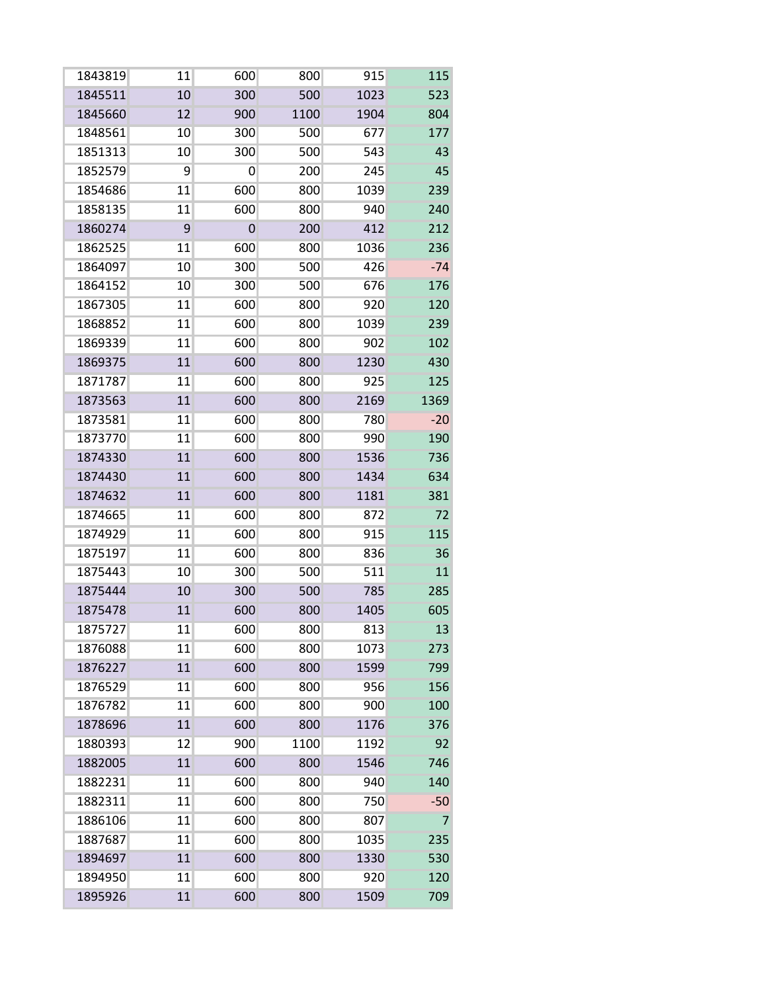| 1843819 | 11              | 600 | 800  | 915  | 115   |
|---------|-----------------|-----|------|------|-------|
| 1845511 | 10              | 300 | 500  | 1023 | 523   |
| 1845660 | 12              | 900 | 1100 | 1904 | 804   |
| 1848561 | 10              | 300 | 500  | 677  | 177   |
| 1851313 | 10              | 300 | 500  | 543  | 43    |
| 1852579 | 9               | 0   | 200  | 245  | 45    |
| 1854686 | 11              | 600 | 800  | 1039 | 239   |
| 1858135 | 11              | 600 | 800  | 940  | 240   |
| 1860274 | 9               | 0   | 200  | 412  | 212   |
| 1862525 | 11              | 600 | 800  | 1036 | 236   |
| 1864097 | 10              | 300 | 500  | 426  | $-74$ |
| 1864152 | 10              | 300 | 500  | 676  | 176   |
| 1867305 | 11              | 600 | 800  | 920  | 120   |
| 1868852 | 11              | 600 | 800  | 1039 | 239   |
| 1869339 | 11              | 600 | 800  | 902  | 102   |
| 1869375 | 11              | 600 | 800  | 1230 | 430   |
| 1871787 | 11              | 600 | 800  | 925  | 125   |
| 1873563 | 11              | 600 | 800  | 2169 | 1369  |
| 1873581 | 11              | 600 | 800  | 780  | $-20$ |
| 1873770 | 11              | 600 | 800  | 990  | 190   |
| 1874330 | 11              | 600 | 800  | 1536 | 736   |
| 1874430 | 11              | 600 | 800  | 1434 | 634   |
| 1874632 | 11              | 600 | 800  | 1181 | 381   |
| 1874665 | 11              | 600 | 800  | 872  | 72    |
| 1874929 | 11              | 600 | 800  | 915  | 115   |
| 1875197 | 11              | 600 | 800  | 836  | 36    |
| 1875443 | 10 <sup>1</sup> | 300 | 500  | 511  | 11    |
| 1875444 | 10              | 300 | 500  | 785  | 285   |
| 1875478 | 11              | 600 | 800  | 1405 | 605   |
| 1875727 | 11              | 600 | 800  | 813  | 13    |
| 1876088 | 11              | 600 | 800  | 1073 | 273   |
| 1876227 | 11              | 600 | 800  | 1599 | 799   |
| 1876529 | 11              | 600 | 800  | 956  | 156   |
| 1876782 | 11              | 600 | 800  | 900  | 100   |
| 1878696 | 11              | 600 | 800  | 1176 | 376   |
| 1880393 | 12              | 900 | 1100 | 1192 | 92    |
| 1882005 | 11              | 600 | 800  | 1546 | 746   |
| 1882231 | 11              | 600 | 800  | 940  | 140   |
| 1882311 | 11              | 600 | 800  | 750  | $-50$ |
| 1886106 | 11              | 600 | 800  | 807  | 7     |
| 1887687 | 11              | 600 | 800  | 1035 | 235   |
| 1894697 | 11              | 600 | 800  | 1330 | 530   |
| 1894950 | 11              | 600 | 800  | 920  | 120   |
| 1895926 | 11              | 600 | 800  | 1509 | 709   |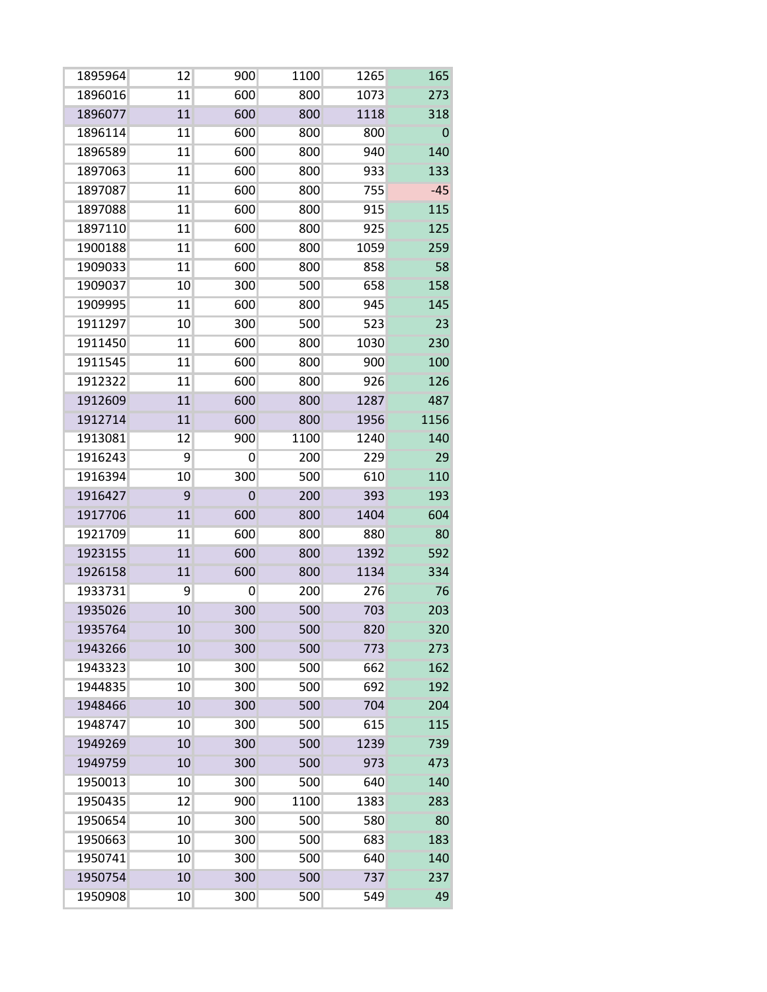| 1895964 | 12 | 900 | 1100 | 1265 | 165         |
|---------|----|-----|------|------|-------------|
| 1896016 | 11 | 600 | 800  | 1073 | 273         |
| 1896077 | 11 | 600 | 800  | 1118 | 318         |
| 1896114 | 11 | 600 | 800  | 800  | $\mathbf 0$ |
| 1896589 | 11 | 600 | 800  | 940  | 140         |
| 1897063 | 11 | 600 | 800  | 933  | 133         |
| 1897087 | 11 | 600 | 800  | 755  | $-45$       |
| 1897088 | 11 | 600 | 800  | 915  | 115         |
| 1897110 | 11 | 600 | 800  | 925  | 125         |
| 1900188 | 11 | 600 | 800  | 1059 | 259         |
| 1909033 | 11 | 600 | 800  | 858  | 58          |
| 1909037 | 10 | 300 | 500  | 658  | 158         |
| 1909995 | 11 | 600 | 800  | 945  | 145         |
| 1911297 | 10 | 300 | 500  | 523  | 23          |
| 1911450 | 11 | 600 | 800  | 1030 | 230         |
| 1911545 | 11 | 600 | 800  | 900  | 100         |
| 1912322 | 11 | 600 | 800  | 926  | 126         |
| 1912609 | 11 | 600 | 800  | 1287 | 487         |
| 1912714 | 11 | 600 | 800  | 1956 | 1156        |
| 1913081 | 12 | 900 | 1100 | 1240 | 140         |
| 1916243 | 9  | 0   | 200  | 229  | 29          |
| 1916394 | 10 | 300 | 500  | 610  | 110         |
| 1916427 | 9  | 0   | 200  | 393  | 193         |
| 1917706 | 11 | 600 | 800  | 1404 | 604         |
| 1921709 | 11 | 600 | 800  | 880  | 80          |
| 1923155 | 11 | 600 | 800  | 1392 | 592         |
| 1926158 | 11 | 600 | 800  | 1134 | 334         |
| 1933731 | 9  | 0   | 200  | 276  | 76          |
| 1935026 | 10 | 300 | 500  | 703  | 203         |
| 1935764 | 10 | 300 | 500  | 820  | 320         |
| 1943266 | 10 | 300 | 500  | 773  | 273         |
| 1943323 | 10 | 300 | 500  | 662  | 162         |
| 1944835 | 10 | 300 | 500  | 692  | 192         |
| 1948466 | 10 | 300 | 500  | 704  | 204         |
| 1948747 | 10 | 300 | 500  | 615  | 115         |
| 1949269 | 10 | 300 | 500  | 1239 | 739         |
| 1949759 | 10 | 300 | 500  | 973  | 473         |
| 1950013 | 10 | 300 | 500  | 640  | 140         |
| 1950435 | 12 | 900 | 1100 | 1383 | 283         |
| 1950654 | 10 | 300 | 500  | 580  | 80          |
| 1950663 | 10 | 300 | 500  | 683  | 183         |
| 1950741 | 10 | 300 | 500  | 640  | 140         |
| 1950754 | 10 | 300 | 500  | 737  | 237         |
| 1950908 | 10 | 300 | 500  | 549  | 49          |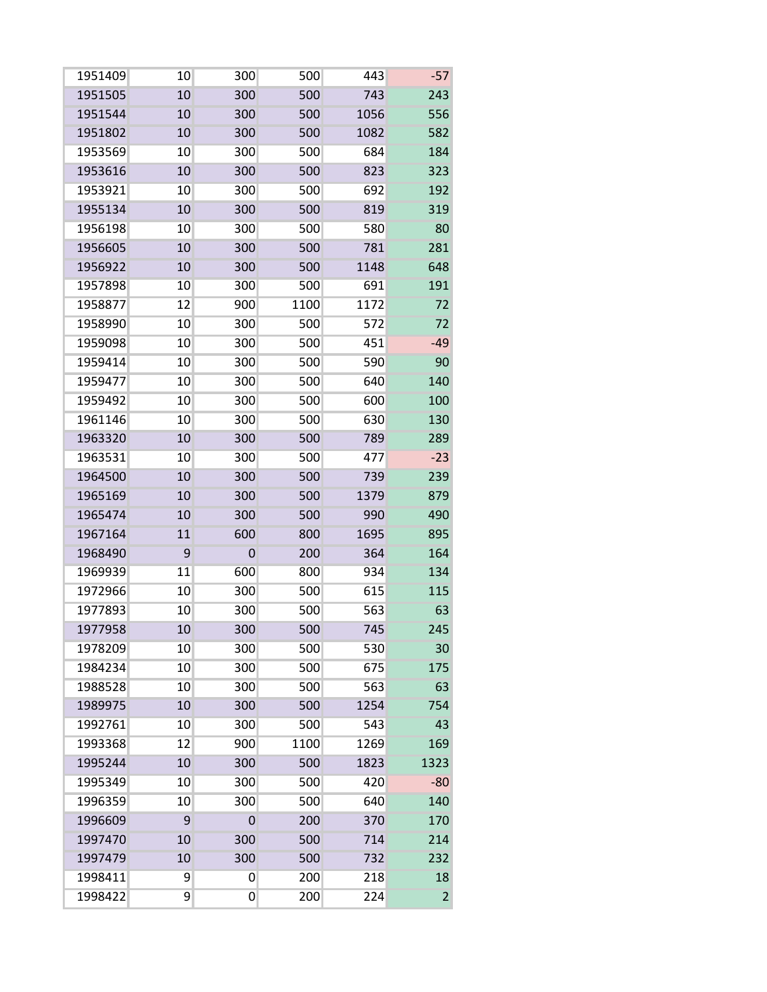| 1951409 | 10 | 300 | 500  | 443  | $-57$          |
|---------|----|-----|------|------|----------------|
| 1951505 | 10 | 300 | 500  | 743  | 243            |
| 1951544 | 10 | 300 | 500  | 1056 | 556            |
| 1951802 | 10 | 300 | 500  | 1082 | 582            |
| 1953569 | 10 | 300 | 500  | 684  | 184            |
| 1953616 | 10 | 300 | 500  | 823  | 323            |
| 1953921 | 10 | 300 | 500  | 692  | 192            |
| 1955134 | 10 | 300 | 500  | 819  | 319            |
| 1956198 | 10 | 300 | 500  | 580  | 80             |
| 1956605 | 10 | 300 | 500  | 781  | 281            |
| 1956922 | 10 | 300 | 500  | 1148 | 648            |
| 1957898 | 10 | 300 | 500  | 691  | 191            |
| 1958877 | 12 | 900 | 1100 | 1172 | 72             |
| 1958990 | 10 | 300 | 500  | 572  | 72             |
| 1959098 | 10 | 300 | 500  | 451  | $-49$          |
| 1959414 | 10 | 300 | 500  | 590  | 90             |
| 1959477 | 10 | 300 | 500  | 640  | 140            |
| 1959492 | 10 | 300 | 500  | 600  | 100            |
| 1961146 | 10 | 300 | 500  | 630  | 130            |
| 1963320 | 10 | 300 | 500  | 789  | 289            |
| 1963531 | 10 | 300 | 500  | 477  | $-23$          |
| 1964500 | 10 | 300 | 500  | 739  | 239            |
| 1965169 | 10 | 300 | 500  | 1379 | 879            |
| 1965474 | 10 | 300 | 500  | 990  | 490            |
| 1967164 | 11 | 600 | 800  | 1695 | 895            |
| 1968490 | 9  | 0   | 200  | 364  | 164            |
| 1969939 | 11 | 600 | 800  | 934  | 134            |
| 1972966 | 10 | 300 | 500  | 615  | 115            |
| 1977893 | 10 | 300 | 500  | 563  | 63             |
| 1977958 | 10 | 300 | 500  | 745  | 245            |
| 1978209 | 10 | 300 | 500  | 530  | 30             |
| 1984234 | 10 | 300 | 500  | 675  | 175            |
| 1988528 | 10 | 300 | 500  | 563  | 63             |
| 1989975 | 10 | 300 | 500  | 1254 | 754            |
| 1992761 | 10 | 300 | 500  | 543  | 43             |
| 1993368 | 12 | 900 | 1100 | 1269 | 169            |
| 1995244 | 10 | 300 | 500  | 1823 | 1323           |
| 1995349 | 10 | 300 | 500  | 420  | $-80$          |
| 1996359 | 10 | 300 | 500  | 640  | 140            |
| 1996609 | 9  | 0   | 200  | 370  | 170            |
| 1997470 | 10 | 300 | 500  | 714  | 214            |
| 1997479 | 10 | 300 | 500  | 732  | 232            |
| 1998411 | 9  | 0   | 200  | 218  | 18             |
| 1998422 | 9  | 0   | 200  | 224  | $\overline{c}$ |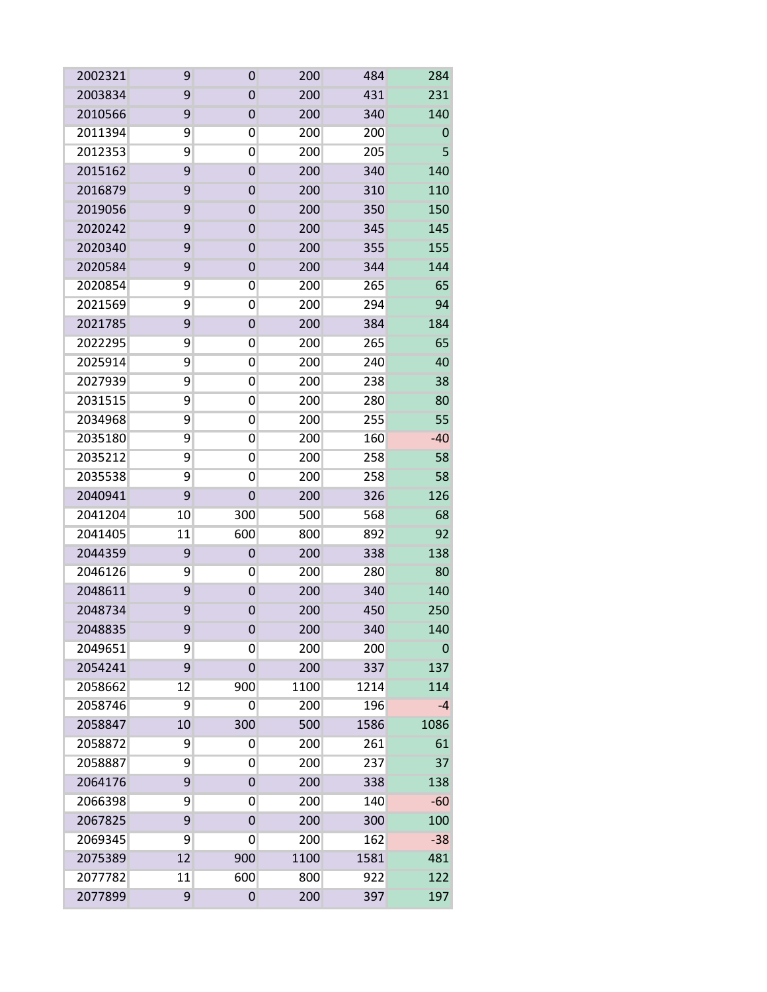| 2002321 | 9  | 0              | 200  | 484  | 284   |
|---------|----|----------------|------|------|-------|
| 2003834 | 9  | 0              | 200  | 431  | 231   |
| 2010566 | 9  | 0              | 200  | 340  | 140   |
| 2011394 | 9  | 0              | 200  | 200  | 0     |
| 2012353 | 9  | 0              | 200  | 205  | 5     |
| 2015162 | 9  | $\overline{0}$ | 200  | 340  | 140   |
| 2016879 | 9  | 0              | 200  | 310  | 110   |
| 2019056 | 9  | 0              | 200  | 350  | 150   |
| 2020242 | 9  | 0              | 200  | 345  | 145   |
| 2020340 | 9  | 0              | 200  | 355  | 155   |
| 2020584 | 9  | 0              | 200  | 344  | 144   |
| 2020854 | 9  | 0              | 200  | 265  | 65    |
| 2021569 | 9  | 0              | 200  | 294  | 94    |
| 2021785 | 9  | $\overline{0}$ | 200  | 384  | 184   |
| 2022295 | 9  | 0              | 200  | 265  | 65    |
| 2025914 | 9  | 0              | 200  | 240  | 40    |
| 2027939 | 9  | 0              | 200  | 238  | 38    |
| 2031515 | 9  | 0              | 200  | 280  | 80    |
| 2034968 | 9  | 0              | 200  | 255  | 55    |
| 2035180 | 9  | 0              | 200  | 160  | $-40$ |
| 2035212 | 9  | 0              | 200  | 258  | 58    |
| 2035538 | 9  | 0              | 200  | 258  | 58    |
| 2040941 | 9  | 0              | 200  | 326  | 126   |
| 2041204 | 10 | 300            | 500  | 568  | 68    |
| 2041405 | 11 | 600            | 800  | 892  | 92    |
| 2044359 | 9  | 0              | 200  | 338  | 138   |
| 2046126 | 9  | 0              | 200  | 280  | 80    |
| 2048611 | 9  | $\overline{0}$ | 200  | 340  | 140   |
| 2048734 | 9  | 0              | 200  | 450  | 250   |
| 2048835 | 9  | 0              | 200  | 340  | 140   |
| 2049651 | 9  | 0              | 200  | 200  | 0     |
| 2054241 | 9  | $\mathbf 0$    | 200  | 337  | 137   |
| 2058662 | 12 | 900            | 1100 | 1214 | 114   |
| 2058746 | 9  | 0              | 200  | 196  | -4    |
| 2058847 | 10 | 300            | 500  | 1586 | 1086  |
| 2058872 | 9  | 0              | 200  | 261  | 61    |
| 2058887 | 9  | 0              | 200  | 237  | 37    |
| 2064176 | 9  | 0              | 200  | 338  | 138   |
| 2066398 | 9  | 0              | 200  | 140  | $-60$ |
| 2067825 | 9  | 0              | 200  | 300  | 100   |
| 2069345 | 9  | 0              | 200  | 162  | $-38$ |
| 2075389 | 12 | 900            | 1100 | 1581 | 481   |
| 2077782 | 11 | 600            | 800  | 922  | 122   |
| 2077899 | 9  | 0              | 200  | 397  | 197   |